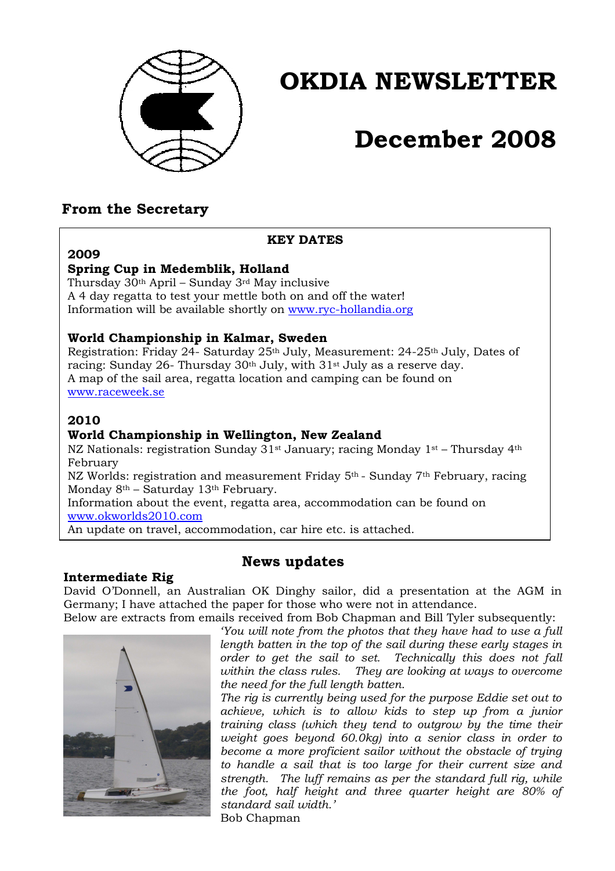

# **OKDIA NEWSLETTER**

# **December 2008**

## **From the Secretary**

#### **KEY DATES**

## **2009**

### **Spring Cup in Medemblik, Holland**

Thursday 30th April – Sunday 3rd May inclusive A 4 day regatta to test your mettle both on and off the water! Information will be available shortly on www.ryc-hollandia.org

### **World Championship in Kalmar, Sweden**

Registration: Friday 24- Saturday 25<sup>th</sup> July, Measurement: 24-25<sup>th</sup> July, Dates of racing: Sunday 26- Thursday 30th July, with 31st July as a reserve day. A map of the sail area, regatta location and camping can be found on www.raceweek.se

## **2010**

#### **World Championship in Wellington, New Zealand**

NZ Nationals: registration Sunday  $31$ <sup>st</sup> January; racing Monday  $1$ <sup>st</sup> – Thursday  $4$ <sup>th</sup> February

NZ Worlds: registration and measurement Friday 5th - Sunday 7th February, racing Monday 8<sup>th</sup> – Saturday 13<sup>th</sup> February.

Information about the event, regatta area, accommodation can be found on www.okworlds2010.com

An update on travel, accommodation, car hire etc. is attached.

### **Intermediate Rig**

## **News updates**

David O'Donnell, an Australian OK Dinghy sailor, did a presentation at the AGM in Germany; I have attached the paper for those who were not in attendance. Below are extracts from emails received from Bob Chapman and Bill Tyler subsequently:



*'You will note from the photos that they have had to use a full length batten in the top of the sail during these early stages in order to get the sail to set. Technically this does not fall within the class rules. They are looking at ways to overcome the need for the full length batten.* 

*The rig is currently being used for the purpose Eddie set out to achieve, which is to allow kids to step up from a junior training class (which they tend to outgrow by the time their weight goes beyond 60.0kg) into a senior class in order to become a more proficient sailor without the obstacle of trying to handle a sail that is too large for their current size and strength. The luff remains as per the standard full rig, while the foot, half height and three quarter height are 80% of standard sail width.'*  Bob Chapman